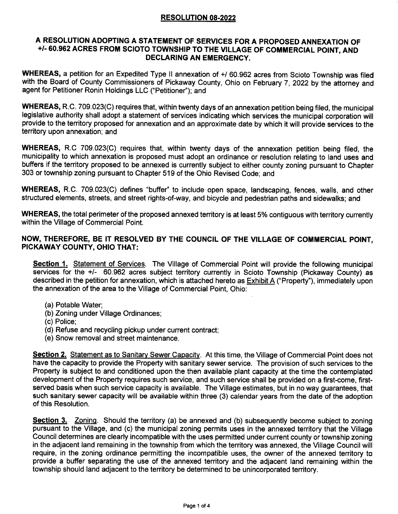# RESOLUTION 08-2022

### A RESOLUTION ADOPTING A STATEMENT OF SERVICES FOR A PROPOSED ANNEXATION OF +/- 60.962 ACRES FROM SCIOTO TOWNSHIP TO THE VILLAGE OF COMMERCIAL POINT, AND DEGLARING AN EMERGENCY.

WHEREAS, a petition for an Expedited Type II annexation of +/ 60.962 acres from Scioto Township was filed with the Board of County Commissioners of Pickaway County, Ohio on February 7, 2022 by the attorney and agent for Petitioner Ronin Holdings LLC ("Petitioner"); and

WHEREAS, R.C. 709.023(C) requires that, within twenty days of an annexation petition being filed, the municipal legislative authority shall adopt a statement of services indicating which services the municipal corporation will provide to the territory proposed for annexation and an approximate date by which it will provide services to the territory upon annexation; and

WHEREAS, R.C 709.023(C) requires that, within twenty days of the annexation petition being filed, the municipality to which annexation is proposed must adopt an ordinance or resolution relating to land uses and buffers if the territory proposed to be annexed is currently subject to either county zoning pursuant to Chapter 303 or township zoning pursuant to Chapter 519 of the Ohio Revised Code; and

WHEREAS, R.C. 709.023(C) defines "buffer" to include open space, landscaping, fences, walls, and other structured elements, streets, and street rights-of-way, and bicycle and pedestrian paths and sidewalks; and

WHEREAS, the total perimeter of the proposed annexed territory is at least 5% contiguous with territory currently within the Village of Commercial Point.

## NOW, THEREFORE, BE IT RESOLVED BY THE COUNCIL OF THE VILLAGE OF COMMERCIAL POINT, PICKAWAY GOUNTY, OHIO THAT:

Section 1. Statement of Services. The Village of Commercial Point will provide the following municipal services for the +/- 60.962 acres subject territory curently in Scioto Township (Pickaway County) as described in the petition for annexation, which is attached hereto as Exhibit A ("Property"), immediately upon the annexation of the area to the Village of Commercial Point, Ohio:

- (a) Potable Water;
- (b) Zoning under Village Ordinances;
- (c) Police;
- (d) Refuse and recycling pickup under current contract;
- (e) Snow removal and street maintenance.

Section 2. Statement as to Sanitary Sewer Capacity. At this time, the Village of Commercial Point does not have the capacity to provide the Property with sanitary sewer service. The provision of such services to the Property is subject to and conditioned upon the then available plant capacity at the time the contemplated development of the Property requires such service, and such service shall be provided on a first-come, firstserved basis when such service capacity is available, The Village estimates, but in no way guarantees, that such sanitary sewer capacity will be available within three (3) calendar years from the date of the adoption of this Resolution.

Section 3. Zoning. Should the territory (a) be annexed and (b) subsequently become subject to zoning pursuant to the Village, and (c) the municipal zoning permits uses in the annexed territory that the Village Council determines are clearly incompatible with the uses permitted under current county or township zoning in the adjacent land remaining in the township from which the territory was annexed, the Village Council will require, in the zoning ordinance permitting the incompatible uses, the owner of the annexed territory to provide a buffer separating the use of the annexed territory and the adjacent land remaining within the township should land adjacent to the territory be determined to be unincorporated territory.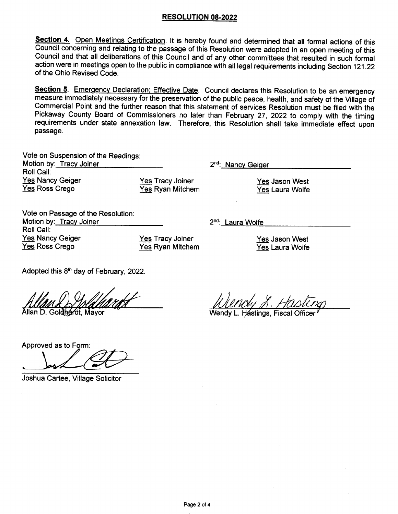### RESOLUTION 08-2022

Section 4. Open Meetings Certification. It is hereby found and determined that all formal actions of this Council concerning and relating to the passage of this Resolution were adopted in an open meeting of this Council and that all deliberations of this Council and of any other committees that resulted in such formal action were in meetings open to the public in compliance with all legal requirements including Section 121.22 of the Ohio Revised Code.

Section 5. Emergency Declaration: Effective Date. Council declares this Resolution to be an emergency measure immediately necessary for the preservation of the public peace, health, and safety of the Village of Commercial Point and the further reason that this statement of services Resolution musi be filed with the Pickaway County Board of Commissioners no later than February 27, 2022 to comply with the timing requirements under state annexation law. Therefore, this Resolution shall take immediate effect upon passage.

| Vote on Suspension of the Readings:<br>Motion by: Tracy Joiner |                  |
|----------------------------------------------------------------|------------------|
|                                                                |                  |
| <b>Yes Nancy Geiger</b>                                        | <b>Yes Tracy</b> |
| Yes Ross Crego                                                 | Yes Ryan I       |

**Joiner** Mitchem 2<sup>nd</sup>: Nancy Geiger

2<sup>nd</sup>: Laura Wolfe

Yes Jason West Yes Laura Wolfe

Vote on Passage of the Resolution Motion by: Tracy Joiner Roll Call: Yes Nancy Geiger Yes Ross Crego

Yes Tracy Joiner Yes Ryan Mitchem

Yes Jason West Yes Laura Wolfe

Adopted this  $8<sup>th</sup>$  day of February, 2022.

Allan D. Gol**óhár**dt. Mavor

Wendy L. Hástings, Fiscal

Approved as to Form:

Joshua Cartee, Village Solicitor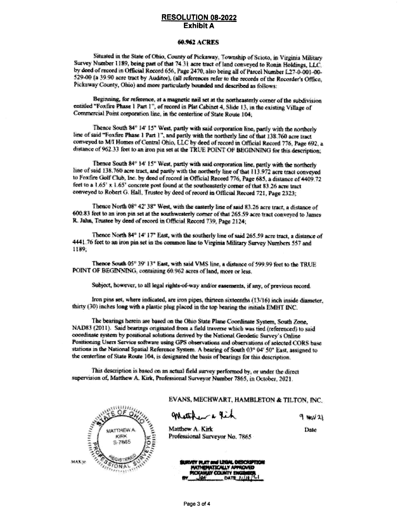#### **RESOLUTION 08-2022** Exhibit A

#### 60.962 ACRES

Situated in the State of Ohio, County of Pickaway, Township of Scioto, in Virginia Military Survey Number 1189, being part of that 74.31 acre tract of land conveyed to Ronin Holdings, LLC. by deed of record in Official Record 656, Page 2470, also being all of Parcel Number 1.27-0-001-00-\$29-00 (a 39.90 acre tract by Auditor), (all references refer to the records of the Recorder's Office, Pickaway County, Ohio) and more particularly bounded and described as follows:

Beginning, for reference, at a magnetic nail set at the northeasterly corner of the subdivision entitled "Foxfire Phase 1 Part 1", of record in Plat Cabinet 4, Slide 13, in the existing Village of Commercial Point corporation line, in the centerline of State Reute 104;

Thence South 84\* 14' 15" West, partly with said corporation line, partly with the northerly line of said "Foxfire Phase 1 Part 1", and partly with the northerly line of that 138.760 acre tract conveyed to M/I Homes of Central Ohio, LLC by deed of record in Official Record 776, Page 692, a distance of 962.33 feet to an iron pin set at the TRUE POINT OF BEGINNING for this description;

Thence South 84\* 14' 15" West, partly with said corporation line, partly with the northerly line of said 138.760 acre tract, and partly with the northerly line of that 113.972 acre tract conveyed to Foxfire Golf Club, Inc. by deed of record in Official Record 776, Page 685, a distance of 4409.72 feet to a 1.65' x 1.65' concrete post found at the southeasterly corner of that 83.26 acre tract conveyed to Robert G. Hall. Trustee by doed of record in Official Record 721, Page 2323;

Thence North 08° 42' 38° West, with the easterly line of said 83.26 acre tract, a distance of 600.83 feet to an iron pin set at the southwesterly corner of that 265.59 acre tract conveyed to James R. Jahn, Trustee by deed of record in Official Record 739, Page 2124;

Thence North 84° 14' 17° East, with the southerly line of said 265.59 acre tract, a distance of 4441.76 feet to an iron pin set in the common line to Virginia Military Survey Numbers 557 and 1189.

Thence South 05° 39' 13" East, with said VMS line, a distance of 599.99 feet to the TRUE POINT OF BEGINNING, containing 60.962 scres of land, more or less.

Subject, however, to all logal rights of way and/or externents, if any, of previous record.

Iron pins set, where indicated, are iron pipes, thatteen sixteenths (13/16) inch inside diameter, thirty (30) inches long with a plastic plug placed in the top bearing the initials EMHT INC.

The bearings herein are based on the Ohio State Plane Coordinate System, South Zone, NAD83 (2011). Said bearings originated from a field traverse which was tied (referenced) to said coordinate system by positional solutions derived by the National Geodetic Survey's Online Positioning Users Service software using GPS observations and observations of selected CORS base. stations in the National Spatial Reference System. A bearing of South 03° 04' 50" East, assigned to the centerline of State Route 104, is designated the basis of bearings for this description.

This description is based on an actual field survey performed by, or under the direct supervision of, Matthew A. Kirk, Professional Surveyor Number 7865, in October, 2021.



EVANS, MECHWART, HAMBLETON & TILTON, INC.

mach rit

 $9.8021$ Date

Matthew A. Kirk Professional Surveyor No. 7865

> URVEY PLAT and LEGAL DESCRIPTION **MATHEMATICALLY APPROVED ICKAWAY COUNTY ENG** DATE ELIMINAT